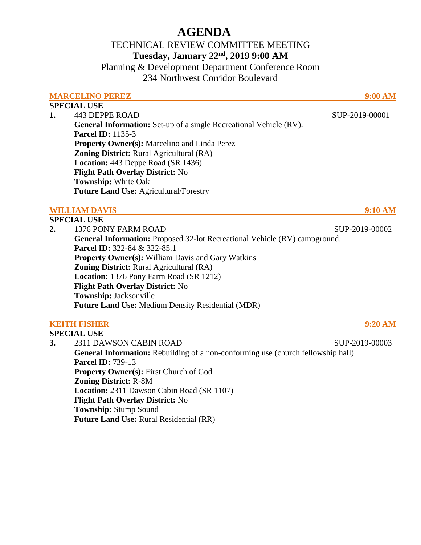# **AGENDA**

## TECHNICAL REVIEW COMMITTEE MEETING **Tuesday, January 22nd, 2019 9:00 AM**

Planning & Development Department Conference Room 234 Northwest Corridor Boulevard

### **MARCELINO PEREZ 9:00 AM**

### **SPECIAL USE**

**1.** 443 DEPPE ROAD SUP-2019-00001 **General Information:** Set-up of a single Recreational Vehicle (RV). **Parcel ID:** 1135-3 **Property Owner(s):** Marcelino and Linda Perez **Zoning District:** Rural Agricultural (RA)  **Location:** 443 Deppe Road (SR 1436)  **Flight Path Overlay District:** No  **Township:** White Oak **Future Land Use:** Agricultural/Forestry

## **WILLIAM DAVIS 9:10 AM**

#### **SPECIAL USE 2.** 1376 PONY FARM ROAD SUP-2019-00002 **General Information:** Proposed 32-lot Recreational Vehicle (RV) campground. **Parcel ID:** 322-84 & 322-85.1 **Property Owner(s):** William Davis and Gary Watkins **Zoning District:** Rural Agricultural (RA)  **Location:** 1376 Pony Farm Road (SR 1212)  **Flight Path Overlay District:** No  **Township:** Jacksonville **Future Land Use:** Medium Density Residential (MDR)

## **KEITH FISHER 9:20 AM**

**SPECIAL USE 3.** 2311 DAWSON CABIN ROAD SUP-2019-00003 **General Information:** Rebuilding of a non-conforming use (church fellowship hall). **Parcel ID:** 739-13 **Property Owner(s):** First Church of God **Zoning District:** R-8M  **Location:** 2311 Dawson Cabin Road (SR 1107)  **Flight Path Overlay District:** No  **Township:** Stump Sound **Future Land Use:** Rural Residential (RR)